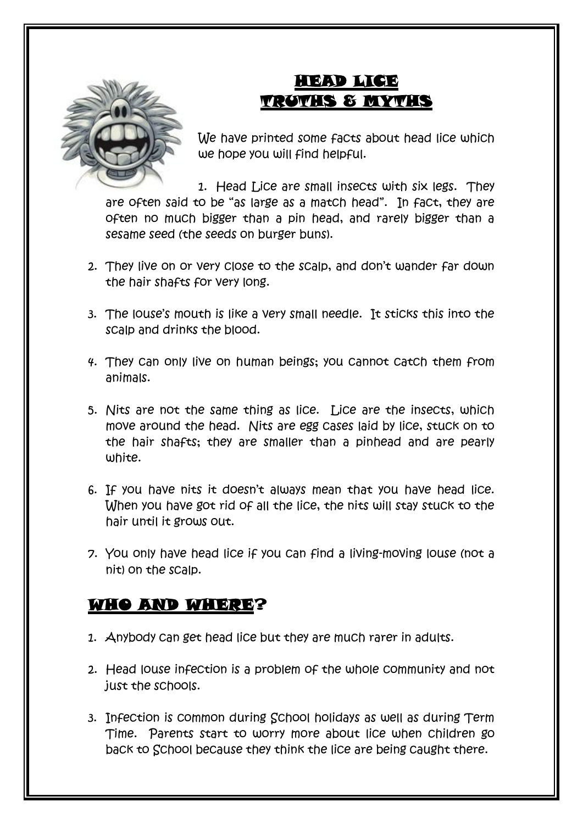

## HEAD LICE TRUTHS & MYTHS

We have printed some facts about head lice which we hope you will find helpful.

1. Head Lice are small insects with six legs. They are often said to be "as large as a match head". In fact, they are often no much bigger than a pin head, and rarely bigger than a sesame seed (the seeds on burger buns).

- 2. They live on or very close to the scalp, and don't wander far down the hair shafts for very long.
- 3. The louse's mouth is like a very small needle. It sticks this into the scalp and drinks the blood.
- 4. They can only live on human beings; you cannot catch them from animals.
- 5. Nits are not the same thing as lice. Lice are the insects, which move around the head. Nits are egg cases laid by lice, stuck on to the hair shafts; they are smaller than a pinhead and are pearly white.
- 6. If you have nits it doesn't always mean that you have head lice. When you have got rid of all the lice, the nits will stay stuck to the hair until it grows out.
- 7. You only have head lice if you can find a living-moving louse (not a nit) on the scalp.

### WHO AND WHERE?

- 1. Anybody can get head lice but they are much rarer in adults.
- 2. Head louse infection is a problem of the whole community and not just the schools.
- 3. Infection is common during School holidays as well as during Term Time. Parents start to worry more about lice when children go back to School because they think the lice are being caught there.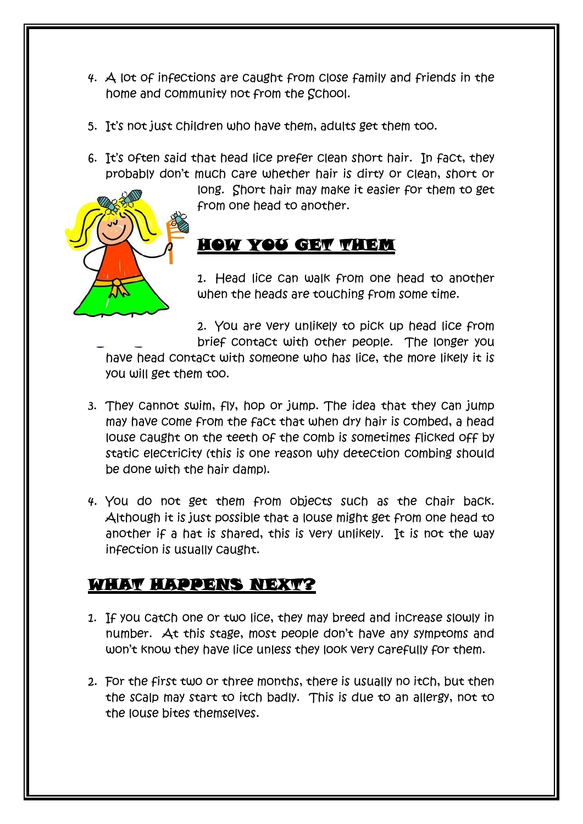- 4. A lot of infections are caught from close family and friends in the home and community not from the School.
- 5. It's not just children who have them, adults get them too.
- 6. It's often said that head lice prefer clean short hair. In fact, they probably don't much care whether hair is dirty or clean, short or

long. Short hair may make it easier for them to get from one head to another.

#### HOW YOU GET THEM

1. Head lice can walk from one head to another when the heads are touching from some time.

2. You are very unlikely to pick up head lice from brief contact with other people. The longer you

have head contact with someone who has lice, the more likely it is you will get them too.

- 3. They cannot swim, fly, hop or jump. The idea that they can jump may have come from the fact that when dry hair is combed, a head louse caught on the teeth of the comb is sometimes flicked off by static electricity (this is one reason why detection combing should be done with the hair damp).
- 4. You do not get them from objects such as the chair back. Although it is just possible that a louse might get from one head to another if a hat is shared, this is very unlikely. It is not the way infection is usually caught.

### WHAT HAPPENS NEXT?

- 1. If you catch one or two lice, they may breed and increase slowly in number. At this stage, most people don't have any symptoms and won't know they have lice unless they look very carefully for them.
- 2. For the first two or three months, there is usually no itch, but then the scalp may start to itch badly. This is due to an allergy, not to the louse bites themselves.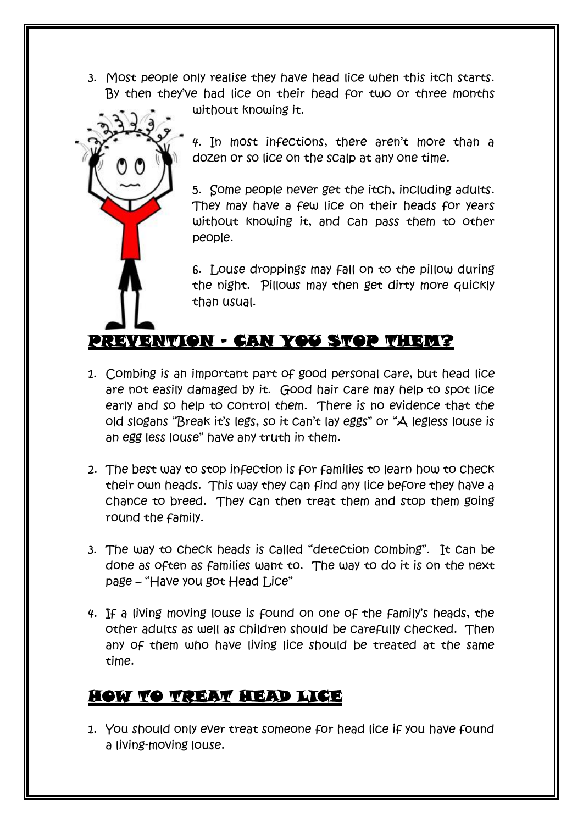3. Most people only realise they have head lice when this itch starts. By then they've had lice on their head for two or three months



without knowing it.

4. In most infections, there aren't more than a dozen or so lice on the scalp at any one time.

5. Some people never get the itch, including adults. They may have a few lice on their heads for years without knowing it, and can pass them to other people.

6. Louse droppings may fall on to the pillow during the night. Pillows may then get dirty more quickly than usual.

### PREVENTION – CAN YOU STOP THEM?

- 1. Combing is an important part of good personal care, but head lice are not easily damaged by it. Good hair care may help to spot lice early and so help to control them. There is no evidence that the old slogans "Break it's legs, so it can't lay eggs" or "A legless louse is an egg less louse" have any truth in them.
- 2. The best way to stop infection is for families to learn how to check their own heads. This way they can find any lice before they have a chance to breed. They can then treat them and stop them going round the family.
- 3. The way to check heads is called "detection combing". It can be done as often as families want to. The way to do it is on the next page – "Have you got Head Lice"
- 4. If a living moving louse is found on one of the family's heads, the other adults as well as children should be carefully checked. Then any of them who have living lice should be treated at the same time.

#### HOW TO TREAT HEAD LICE

1. You should only ever treat someone for head lice if you have found a living-moving louse.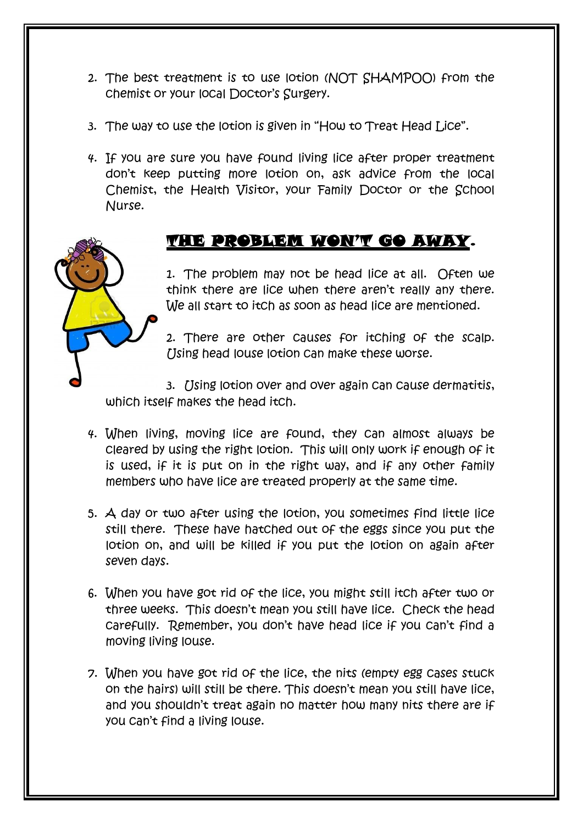- 2. The best treatment is to use lotion (NOT SHAMPOO) from the chemist or your local Doctor's Surgery.
- 3. The way to use the lotion is given in "How to Treat Head Lice".
- 4. If you are sure you have found living lice after proper treatment don't keep putting more lotion on, ask advice from the local Chemist, the Health Visitor, your Family Doctor or the School Nurse.

#### THE PROBLEM WON'T GO AWAY.

1. The problem may not be head lice at all. Often we think there are lice when there aren't really any there. We all start to itch as soon as head lice are mentioned.

2. There are other causes for itching of the scalp. Using head louse lotion can make these worse.

3. [Jsing lotion over and over again can cause dermatitis, which itself makes the head itch.

- 4. When living, moving lice are found, they can almost always be cleared by using the right lotion. This will only work if enough of it is used, if it is put on in the right way, and if any other family members who have lice are treated properly at the same time.
- 5. A day or two after using the lotion, you sometimes find little lice still there. These have hatched out of the eggs since you put the lotion on, and will be killed if you put the lotion on again after seven days.
- 6. When you have got rid of the lice, you might still itch after two or three weeks. This doesn't mean you still have lice. Check the head carefully. Remember, you don't have head lice if you can't find a moving living louse.
- 7. When you have got rid of the lice, the nits (empty egg cases stuck on the hairs) will still be there. This doesn't mean you still have lice, and you shouldn't treat again no matter how many nits there are if you can't find a living louse.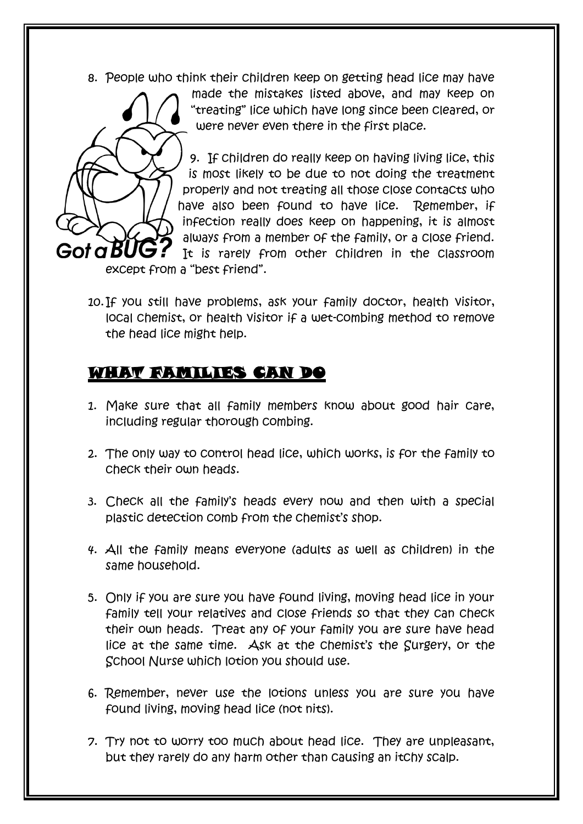8. People who think their children keep on getting head lice may have



made the mistakes listed above, and may keep on "treating" lice which have long since been cleared, or were never even there in the first place.

9. If children do really keep on having living lice, this is most likely to be due to not doing the treatment properly and not treating all those close contacts who have also been found to have lice. Remember, if infection really does keep on happening, it is almost always from a member of the family, or a close friend. It is rarely from other children in the classroom

except from a "best friend".

10.If you still have problems, ask your family doctor, health visitor, local chemist, or health visitor if a wet-combing method to remove the head lice might help.

# WHAT FAMILIES CAN DO

- 1. Make sure that all family members know about good hair care, including regular thorough combing.
- 2. The only way to control head lice, which works, is for the family to check their own heads.
- 3. Check all the family's heads every now and then with a special plastic detection comb from the chemist's shop.
- 4. All the family means everyone (adults as well as children) in the same household.
- 5. Only if you are sure you have found living, moving head lice in your family tell your relatives and close friends so that they can check their own heads. Treat any of your family you are sure have head lice at the same time. Ask at the chemist's the Surgery, or the School Nurse which lotion you should use.
- 6. Remember, never use the lotions unless you are sure you have found living, moving head lice (not nits).
- 7. Try not to worry too much about head lice. They are unpleasant, but they rarely do any harm other than causing an itchy scalp.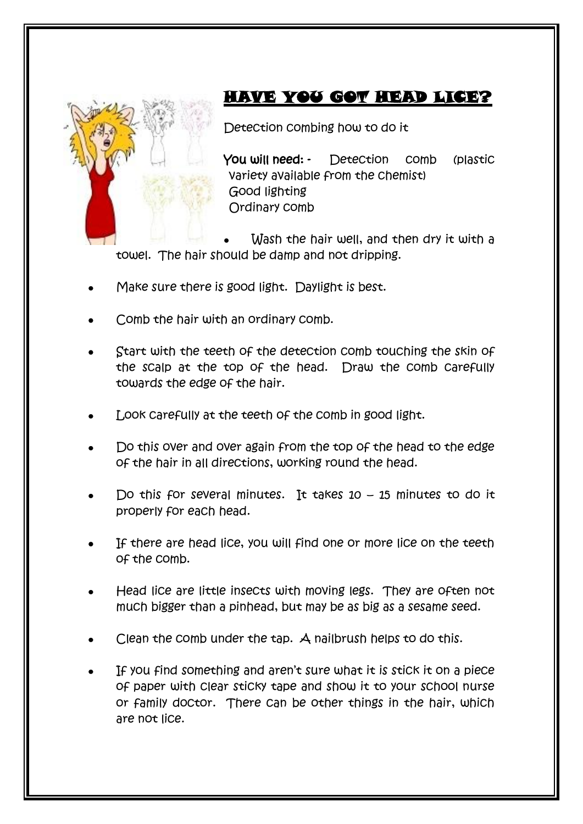

# HAVE YOU GOT HEAD LICE?

Detection combing how to do it

You will need: - Detection comb (plastic variety available from the chemist) Good lighting Ordinary comb

Wash the hair well, and then dry it with a towel. The hair should be damp and not dripping.

- Make sure there is good light. Daylight is best.
- Comb the hair with an ordinary comb.
- Start with the teeth of the detection comb touching the skin of the scalp at the top of the head. Draw the comb carefully towards the edge of the hair.
- Look carefully at the teeth of the comb in good light.
- Do this over and over again from the top of the head to the edge of the hair in all directions, working round the head.
- Do this for several minutes. It takes  $10 15$  minutes to do it properly for each head.
- If there are head lice, you will find one or more lice on the teeth of the comb.
- Head lice are little insects with moving legs. They are often not much bigger than a pinhead, but may be as big as a sesame seed.
- Clean the comb under the tap. A nailbrush helps to do this.
- If you find something and aren't sure what it is stick it on a piece of paper with clear sticky tape and show it to your school nurse or family doctor. There can be other things in the hair, which are not lice.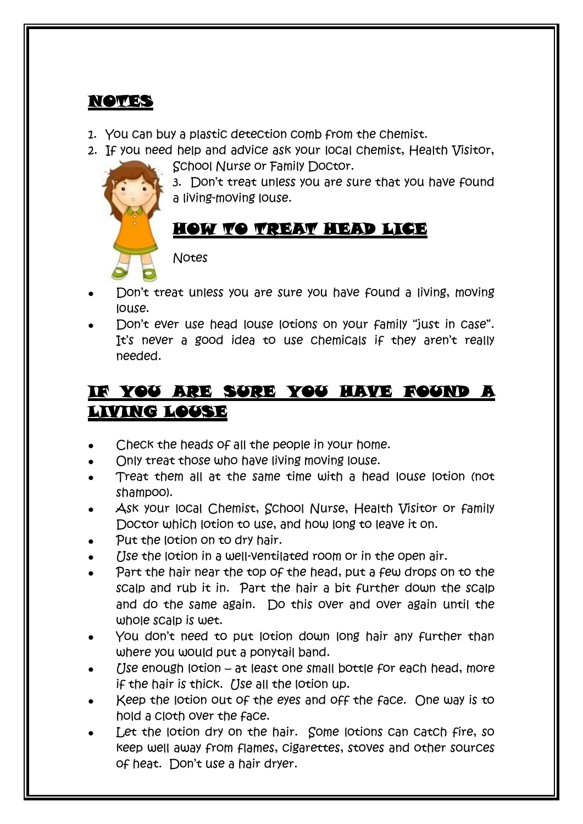### NOTES

- 1. You can buy a plastic detection comb from the chemist.
- 2. If you need help and advice ask your local chemist, Health Visitor, School Nurse or Family Doctor.



3. Don't treat unless you are sure that you have found a living-moving louse.

# HOW TO TREAT HEAD LICE

Notes

- Don't treat unless you are sure you have found a living, moving louse.
- Don't ever use head louse lotions on your family "just in case". It's never a good idea to use chemicals if they aren't really needed.

# IF YOU ARE SURE YOU HAVE FOUND A LIVING LOUSE

- Check the heads of all the people in your home.  $\bullet$
- Only treat those who have living moving louse.
- Treat them all at the same time with a head louse lotion (not shampoo).
- Ask your local Chemist, School Nurse, Health Visitor or family Doctor which lotion to use, and how long to leave it on.
- Put the lotion on to dry hair.
- Use the lotion in a well-ventilated room or in the open air.
- Part the hair near the top of the head, put a few drops on to the scalp and rub it in. Part the hair a bit further down the scalp and do the same again. Do this over and over again until the whole scalp is wet.
- You don't need to put lotion down long hair any further than where you would put a ponytail band.
- Use enough lotion at least one small bottle for each head, more if the hair is thick. (Ise all the lotion up.
- Keep the lotion out of the eyes and off the face. One way is to hold a cloth over the face.
- Let the lotion dry on the hair. Some lotions can catch fire, so keep well away from flames, cigarettes, stoves and other sources of heat. Don't use a hair dryer.